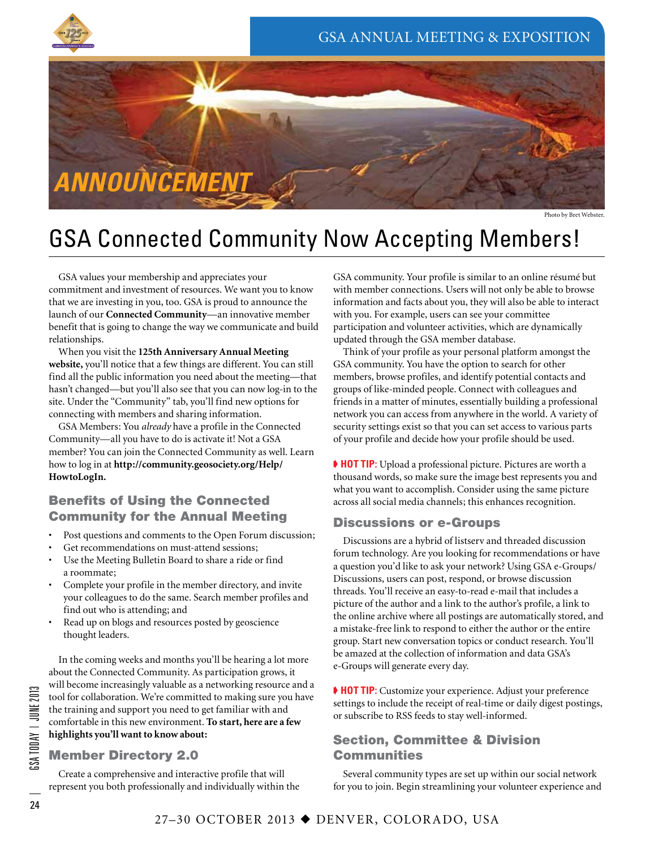



Photo by Bret Webster.

# GSA Connected Community Now Accepting Members!

GSA values your membership and appreciates your commitment and investment of resources. We want you to know that we are investing in you, too. GSA is proud to announce the launch of our **Connected Community**—an innovative member benefit that is going to change the way we communicate and build relationships.

When you visit the **125th Anniversary Annual Meeting website,** you'll notice that a few things are different. You can still find all the public information you need about the meeting—that hasn't changed—but you'll also see that you can now log-in to the site. Under the "Community" tab, you'll find new options for connecting with members and sharing information.

GSA Members: You *already* have a profile in the Connected Community—all you have to do is activate it! Not a GSA member? You can join the Connected Community as well. Learn how to log in at **http://community.geosociety.org/Help/ HowtoLogIn.**

# Benefits of Using the Connected Community for the Annual Meeting

- Post questions and comments to the Open Forum discussion;
- Get recommendations on must-attend sessions;
- Use the Meeting Bulletin Board to share a ride or find a roommate;
- Complete your profile in the member directory, and invite your colleagues to do the same. Search member profiles and find out who is attending; and
- Read up on blogs and resources posted by geoscience thought leaders.

In the coming weeks and months you'll be hearing a lot more about the Connected Community. As participation grows, it will become increasingly valuable as a networking resource and a tool for collaboration. We're committed to making sure you have the training and support you need to get familiar with and comfortable in this new environment. **To start, here are a few highlights you'll want to know about:**

# Member Directory 2.0

Create a comprehensive and interactive profile that will represent you both professionally and individually within the GSA community. Your profile is similar to an online résumé but with member connections. Users will not only be able to browse information and facts about you, they will also be able to interact with you. For example, users can see your committee participation and volunteer activities, which are dynamically updated through the GSA member database.

Think of your profile as your personal platform amongst the GSA community. You have the option to search for other members, browse profiles, and identify potential contacts and groups of like-minded people. Connect with colleagues and friends in a matter of minutes, essentially building a professional network you can access from anywhere in the world. A variety of security settings exist so that you can set access to various parts of your profile and decide how your profile should be used.

➧ **HOT TIP:** Upload a professional picture. Pictures are worth a thousand words, so make sure the image best represents you and what you want to accomplish. Consider using the same picture across all social media channels; this enhances recognition.

#### Discussions or e-Groups

Discussions are a hybrid of listserv and threaded discussion forum technology. Are you looking for recommendations or have a question you'd like to ask your network? Using GSA e-Groups/ Discussions, users can post, respond, or browse discussion threads. You'll receive an easy-to-read e-mail that includes a picture of the author and a link to the author's profile, a link to the online archive where all postings are automatically stored, and a mistake-free link to respond to either the author or the entire group. Start new conversation topics or conduct research. You'll be amazed at the collection of information and data GSA's e-Groups will generate every day.

➧ **HOT TIP:** Customize your experience. Adjust your preference settings to include the receipt of real-time or daily digest postings, or subscribe to RSS feeds to stay well-informed.

## Section, Committee & Division **Communities**

Several community types are set up within our social network for you to join. Begin streamlining your volunteer experience and